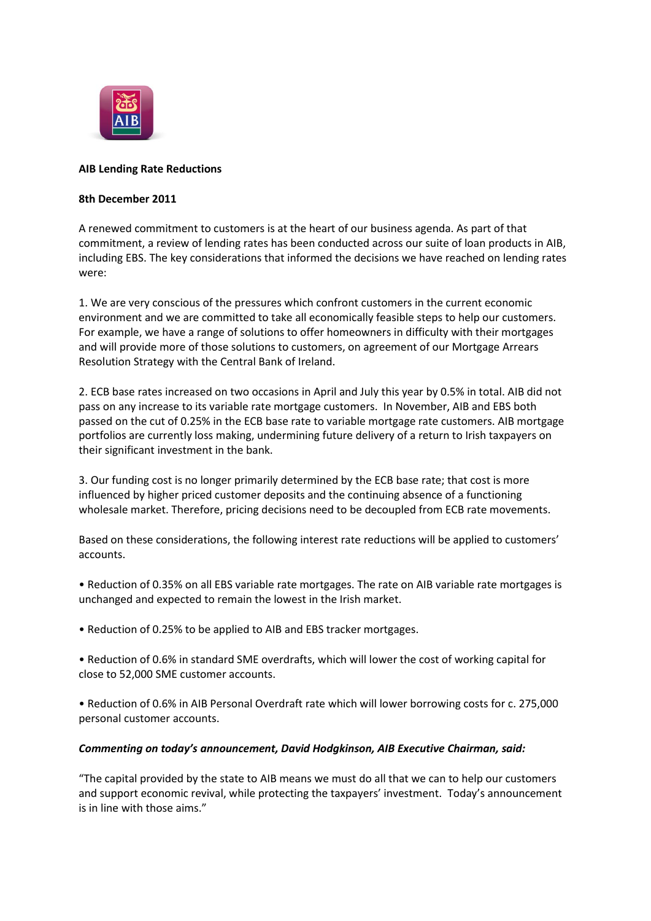

## **AIB Lending Rate Reductions**

## **8th December 2011**

A renewed commitment to customers is at the heart of our business agenda. As part of that commitment, a review of lending rates has been conducted across our suite of loan products in AIB, including EBS. The key considerations that informed the decisions we have reached on lending rates were:

1. We are very conscious of the pressures which confront customers in the current economic environment and we are committed to take all economically feasible steps to help our customers. For example, we have a range of solutions to offer homeowners in difficulty with their mortgages and will provide more of those solutions to customers, on agreement of our Mortgage Arrears Resolution Strategy with the Central Bank of Ireland.

2. ECB base rates increased on two occasions in April and July this year by 0.5% in total. AIB did not pass on any increase to its variable rate mortgage customers. In November, AIB and EBS both passed on the cut of 0.25% in the ECB base rate to variable mortgage rate customers. AIB mortgage portfolios are currently loss making, undermining future delivery of a return to Irish taxpayers on their significant investment in the bank.

3. Our funding cost is no longer primarily determined by the ECB base rate; that cost is more influenced by higher priced customer deposits and the continuing absence of a functioning wholesale market. Therefore, pricing decisions need to be decoupled from ECB rate movements.

Based on these considerations, the following interest rate reductions will be applied to customers' accounts.

- Reduction of 0.35% on all EBS variable rate mortgages. The rate on AIB variable rate mortgages is unchanged and expected to remain the lowest in the Irish market.
- Reduction of 0.25% to be applied to AIB and EBS tracker mortgages.
- Reduction of 0.6% in standard SME overdrafts, which will lower the cost of working capital for close to 52,000 SME customer accounts.
- Reduction of 0.6% in AIB Personal Overdraft rate which will lower borrowing costs for c. 275,000 personal customer accounts.

## *Commenting on today's announcement, David Hodgkinson, AIB Executive Chairman, said:*

"The capital provided by the state to AIB means we must do all that we can to help our customers and support economic revival, while protecting the taxpayers' investment. Today's announcement is in line with those aims."